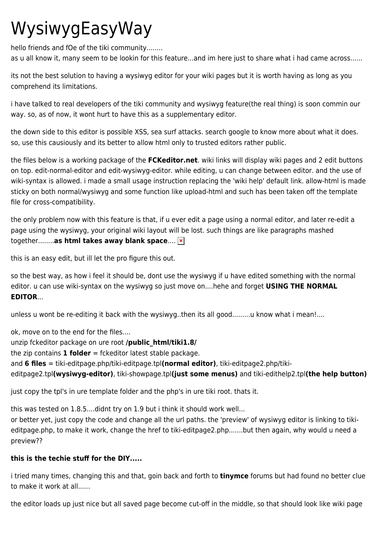## WysiwygEasyWay

hello friends and fOe of the tiki community........

as u all know it, many seem to be lookin for this feature...and im here just to share what i had came across......

its not the best solution to having a wysiwyg editor for your wiki pages but it is worth having as long as you comprehend its limitations.

i have talked to real developers of the tiki community and wysiwyg feature(the real thing) is soon commin our way. so, as of now, it wont hurt to have this as a supplementary editor.

the down side to this editor is possible XSS, sea surf attacks. search google to know more about what it does. so, use this causiously and its better to allow html only to trusted editors rather public.

the files below is a working package of the **FCKeditor.net**. wiki links will display wiki pages and 2 edit buttons on top. edit-normal-editor and edit-wysiwyg-editor. while editing, u can change between editor. and the use of wiki-syntax is allowed. i made a small usage instruction replacing the 'wiki help' default link. allow-html is made sticky on both normal/wysiwyg and some function like upload-html and such has been taken off the template file for cross-compatibility.

the only problem now with this feature is that, if u ever edit a page using a normal editor, and later re-edit a page using the wysiwyg, your original wiki layout will be lost. such things are like paragraphs mashed together........**as html takes away blank space**....

this is an easy edit, but ill let the pro figure this out.

so the best way, as how i feel it should be, dont use the wysiwyg if u have edited something with the normal editor. u can use wiki-syntax on the wysiwyg so just move on....hehe and forget **USING THE NORMAL EDITOR**...

unless u wont be re-editing it back with the wysiwyg..then its all good.........u know what i mean!....

ok, move on to the end for the files.... unzip fckeditor package on ure root **/public\_html/tiki1.8/** the zip contains **1 folder** = fckeditor latest stable package. and **6 files** = tiki-editpage.php/tiki-editpage.tpl**(normal editor)**, tiki-editpage2.php/tikieditpage2.tpl**(wysiwyg-editor)**, tiki-showpage.tpl**(just some menus)** and tiki-edithelp2.tpl**(the help button)**

just copy the tpl's in ure template folder and the php's in ure tiki root. thats it.

this was tested on 1.8.5....didnt try on 1.9 but i think it should work well...

or better yet, just copy the code and change all the url paths. the 'preview' of wysiwyg editor is linking to tikieditpage.php, to make it work, change the href to tiki-editpage2.php.......but then again, why would u need a preview??

## **this is the techie stuff for the DIY.....**

i tried many times, changing this and that, goin back and forth to **tinymce** forums but had found no better clue to make it work at all.

the editor loads up just nice but all saved page become cut-off in the middle, so that should look like wiki page